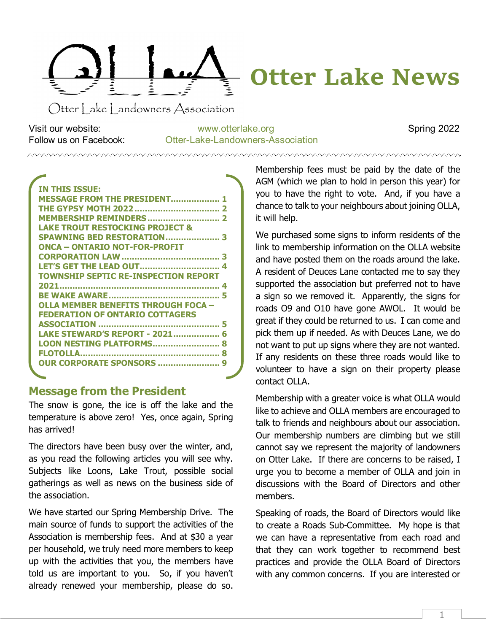<span id="page-0-0"></span>

Otter Lake Landowners Association

Visit our website: [www.otterlake.org](http://www.otterlake.org/) Spring 2022 Follow us on Facebook: Otter-Lake-Landowners-Association

| <b>IN THIS ISSUE:</b>                       |
|---------------------------------------------|
| <b>MESSAGE FROM THE PRESIDENT 1</b>         |
|                                             |
| <b>MEMBERSHIP REMINDERS 2</b>               |
| LAKE TROUT RESTOCKING PROJECT &             |
| <b>SPAWNING BED RESTORATION 3</b>           |
| ONCA - ONTARIO NOT-FOR-PROFIT               |
|                                             |
| LET'S GET THE LEAD OUT 4                    |
| <b>TOWNSHIP SEPTIC RE-INSPECTION REPORT</b> |
|                                             |
|                                             |
| OLLA MEMBER BENEFITS THROUGH FOCA -         |
| <b>FEDERATION OF ONTARIO COTTAGERS</b>      |
|                                             |
| LAKE STEWARD'S REPORT - 2021 6              |
| LOON NESTING PLATFORMS 8                    |
|                                             |
| <b>OUR CORPORATE SPONSORS </b>              |
|                                             |

# **Message from the President**

The snow is gone, the ice is off the lake and the temperature is above zero! Yes, once again, Spring has arrived!

The directors have been busy over the winter, and, as you read the following articles you will see why. Subjects like Loons, Lake Trout, possible social gatherings as well as news on the business side of the association.

We have started our Spring Membership Drive. The main source of funds to support the activities of the Association is membership fees. And at \$30 a year per household, we truly need more members to keep up with the activities that you, the members have told us are important to you. So, if you haven't already renewed your membership, please do so.

Membership fees must be paid by the date of the AGM (which we plan to hold in person this year) for you to have the right to vote. And, if you have a chance to talk to your neighbours about joining OLLA, it will help.

We purchased some signs to inform residents of the link to membership information on the OLLA website and have posted them on the roads around the lake. A resident of Deuces Lane contacted me to say they supported the association but preferred not to have a sign so we removed it. Apparently, the signs for roads O9 and O10 have gone AWOL. It would be great if they could be returned to us. I can come and pick them up if needed. As with Deuces Lane, we do not want to put up signs where they are not wanted. If any residents on these three roads would like to volunteer to have a sign on their property please contact OLLA.

Membership with a greater voice is what OLLA would like to achieve and OLLA members are encouraged to talk to friends and neighbours about our association. Our membership numbers are climbing but we still cannot say we represent the majority of landowners on Otter Lake. If there are concerns to be raised, I urge you to become a member of OLLA and join in discussions with the Board of Directors and other members.

Speaking of roads, the Board of Directors would like to create a Roads Sub-Committee. My hope is that we can have a representative from each road and that they can work together to recommend best practices and provide the OLLA Board of Directors with any common concerns. If you are interested or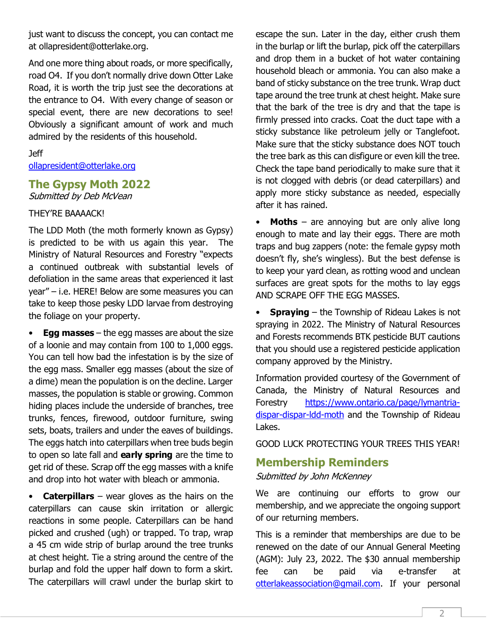just want to discuss the concept, you can contact me at ollapresident@otterlake.org.

And one more thing about roads, or more specifically, road O4. If you don't normally drive down Otter Lake Road, it is worth the trip just see the decorations at the entrance to O4. With every change of season or special event, there are new decorations to see! Obviously a significant amount of work and much admired by the residents of this household.

#### Jeff

[ollapresident@otterlake.org](mailto:ollapresident@otterlake.org)

## <span id="page-1-0"></span>**The Gypsy Moth 2022**

Submitted by Deb McVean

#### THEY'RE BAAAACK!

The LDD Moth (the moth formerly known as Gypsy) is predicted to be with us again this year. The Ministry of Natural Resources and Forestry "expects a continued outbreak with substantial levels of defoliation in the same areas that experienced it last year" – i.e. HERE! Below are some measures you can take to keep those pesky LDD larvae from destroying the foliage on your property.

• **Egg masses** – the egg masses are about the size of a loonie and may contain from 100 to 1,000 eggs. You can tell how bad the infestation is by the size of the egg mass. Smaller egg masses (about the size of a dime) mean the population is on the decline. Larger masses, the population is stable or growing. Common hiding places include the underside of branches, tree trunks, fences, firewood, outdoor furniture, swing sets, boats, trailers and under the eaves of buildings. The eggs hatch into caterpillars when tree buds begin to open so late fall and **early spring** are the time to get rid of these. Scrap off the egg masses with a knife and drop into hot water with bleach or ammonia.

• **Caterpillars** – wear gloves as the hairs on the caterpillars can cause skin irritation or allergic reactions in some people. Caterpillars can be hand picked and crushed (ugh) or trapped. To trap, wrap a 45 cm wide strip of burlap around the tree trunks at chest height. Tie a string around the centre of the burlap and fold the upper half down to form a skirt. The caterpillars will crawl under the burlap skirt to escape the sun. Later in the day, either crush them in the burlap or lift the burlap, pick off the caterpillars and drop them in a bucket of hot water containing household bleach or ammonia. You can also make a band of sticky substance on the tree trunk. Wrap duct tape around the tree trunk at chest height. Make sure that the bark of the tree is dry and that the tape is firmly pressed into cracks. Coat the duct tape with a sticky substance like petroleum jelly or Tanglefoot. Make sure that the sticky substance does NOT touch the tree bark as this can disfigure or even kill the tree. Check the tape band periodically to make sure that it is not clogged with debris (or dead caterpillars) and apply more sticky substance as needed, especially after it has rained.

**Moths** – are annoying but are only alive long enough to mate and lay their eggs. There are moth traps and bug zappers (note: the female gypsy moth doesn't fly, she's wingless). But the best defense is to keep your yard clean, as rotting wood and unclean surfaces are great spots for the moths to lay eggs AND SCRAPE OFF THE EGG MASSES.

**Spraying** – the Township of Rideau Lakes is not spraying in 2022. The Ministry of Natural Resources and Forests recommends BTK pesticide BUT cautions that you should use a registered pesticide application company approved by the Ministry.

Information provided courtesy of the Government of Canada, the Ministry of Natural Resources and Forestry [https://www.ontario.ca/page/lymantria](https://www.ontario.ca/page/lymantria-dispar-dispar-ldd-moth)dispar-dispar-Idd-moth and the Township of Rideau Lakes.

GOOD LUCK PROTECTING YOUR TREES THIS YEAR!

## <span id="page-1-1"></span>**Membership Reminders**

Submitted by John McKenney

We are continuing our efforts to grow our membership, and we appreciate the ongoing support of our returning members.

This is a reminder that memberships are due to be renewed on the date of our Annual General Meeting (AGM): July 23, 2022. The \$30 annual membership fee can be paid via e-transfer at [otterlakeassociation@gmail.com.](mailto:otterlakeassociation@gmail.com) If your personal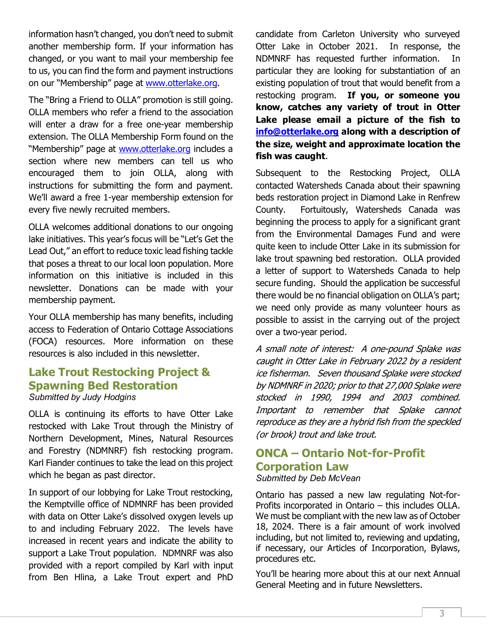information hasn't changed, you don't need to submit another membership form. If your information has changed, or you want to mail your membership fee to us, you can find the form and payment instructions on our "Membership" page at [www.otterlake.org.](http://www.otterlake.org/)

The "Bring a Friend to OLLA" promotion is still going. OLLA members who refer a friend to the association will enter a draw for a free one-year membership extension. The OLLA Membership Form found on the "Membership" page at [www.otterlake.org](http://www.otterlake.org/) includes a section where new members can tell us who encouraged them to join OLLA, along with instructions for submitting the form and payment. We'll award a free 1-year membership extension for every five newly recruited members.

OLLA welcomes additional donations to our ongoing lake initiatives. This year's focus will be "Let's Get the Lead Out," an effort to reduce toxic lead fishing tackle that poses a threat to our local loon population. More information on this initiative is included in this newsletter. Donations can be made with your membership payment.

Your OLLA membership has many benefits, including access to Federation of Ontario Cottage Associations (FOCA) resources. More information on these resources is also included in this newsletter.

## <span id="page-2-0"></span>**Lake Trout Restocking Project & Spawning Bed Restoration** *Submitted by Judy Hodgins*

OLLA is continuing its efforts to have Otter Lake restocked with Lake Trout through the Ministry of Northern Development, Mines, Natural Resources and Forestry (NDMNRF) fish restocking program. Karl Fiander continues to take the lead on this project which he began as past director.

In support of our lobbying for Lake Trout restocking, the Kemptville office of NDMNRF has been provided with data on Otter Lake's dissolved oxygen levels up to and including February 2022. The levels have increased in recent years and indicate the ability to support a Lake Trout population. NDMNRF was also provided with a report compiled by Karl with input from Ben Hlina, a Lake Trout expert and PhD candidate from Carleton University who surveyed Otter Lake in October 2021. In response, the NDMNRF has requested further information. In particular they are looking for substantiation of an existing population of trout that would benefit from a restocking program. **If you, or someone you know, catches any variety of trout in Otter Lake please email a picture of the fish to [info@otterlake.org](mailto:info@otterlake.org) along with a description of the size, weight and approximate location the fish was caught**.

Subsequent to the Restocking Project, OLLA contacted Watersheds Canada about their spawning beds restoration project in Diamond Lake in Renfrew County. Fortuitously, Watersheds Canada was beginning the process to apply for a significant grant from the Environmental Damages Fund and were quite keen to include Otter Lake in its submission for lake trout spawning bed restoration. OLLA provided a letter of support to Watersheds Canada to help secure funding. Should the application be successful there would be no financial obligation on OLLA's part; we need only provide as many volunteer hours as possible to assist in the carrying out of the project over a two-year period.

A small note of interest: A one-pound Splake was caught in Otter Lake in February 2022 by a resident ice fisherman. Seven thousand Splake were stocked by NDMNRF in 2020; prior to that 27,000 Splake were stocked in 1990, 1994 and 2003 combined. Important to remember that Splake cannot reproduce as they are a hybrid fish from the speckled (or brook) trout and lake trout.

## <span id="page-2-1"></span>**ONCA – Ontario Not-for-Profit Corporation Law** *Submitted by Deb McVean*

Ontario has passed a new law regulating Not-for-Profits incorporated in Ontario – this includes OLLA. We must be compliant with the new law as of October 18, 2024. There is a fair amount of work involved including, but not limited to, reviewing and updating, if necessary, our Articles of Incorporation, Bylaws, procedures etc.

You'll be hearing more about this at our next Annual General Meeting and in future Newsletters.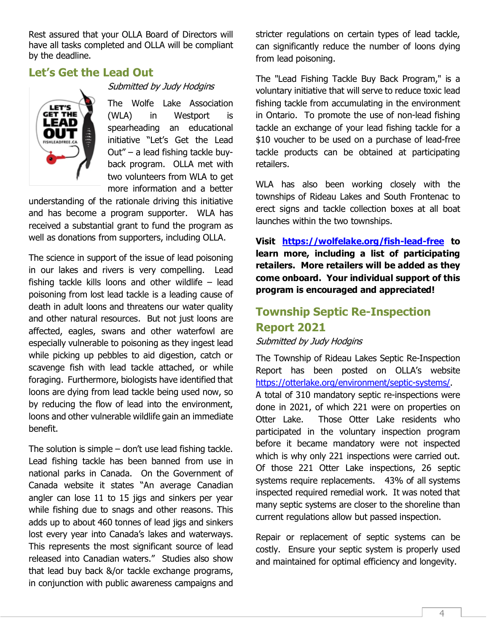Rest assured that your OLLA Board of Directors will have all tasks completed and OLLA will be compliant by the deadline.

## <span id="page-3-0"></span>**Let's Get the Lead Out**



#### Submitted by Judy Hodgins

The Wolfe Lake Association (WLA) in Westport is spearheading an educational initiative "Let's Get the Lead Out" – a lead fishing tackle buyback program. OLLA met with two volunteers from WLA to get more information and a better

understanding of the rationale driving this initiative and has become a program supporter. WLA has received a substantial grant to fund the program as well as donations from supporters, including OLLA.

The science in support of the issue of lead poisoning in our lakes and rivers is very compelling. Lead fishing tackle kills loons and other wildlife – lead poisoning from lost lead tackle is a leading cause of death in adult loons and threatens our water quality and other natural resources. But not just loons are affected, eagles, swans and other waterfowl are especially vulnerable to poisoning as they ingest lead while picking up pebbles to aid digestion, catch or scavenge fish with lead tackle attached, or while foraging. Furthermore, biologists have identified that loons are dying from lead tackle being used now, so by reducing the flow of lead into the environment, loons and other vulnerable wildlife gain an immediate benefit.

The solution is simple – don't use lead fishing tackle. Lead fishing tackle has been banned from use in national parks in Canada. On the Government of Canada website it states "An average Canadian angler can lose 11 to 15 jigs and sinkers per year while fishing due to snags and other reasons. This adds up to about 460 tonnes of lead jigs and sinkers lost every year into Canada's lakes and waterways. This represents the most significant source of lead released into Canadian waters." Studies also show that lead buy back &/or tackle exchange programs, in conjunction with public awareness campaigns and stricter regulations on certain types of lead tackle, can significantly reduce the number of loons dying from lead poisoning.

The "Lead Fishing Tackle Buy Back Program," is a voluntary initiative that will serve to reduce toxic lead fishing tackle from accumulating in the environment in Ontario. To promote the use of non-lead fishing tackle an exchange of your lead fishing tackle for a \$10 voucher to be used on a purchase of lead-free tackle products can be obtained at participating retailers.

WLA has also been working closely with the townships of Rideau Lakes and South Frontenac to erect signs and tackle collection boxes at all boat launches within the two townships.

**Visit <https://wolfelake.org/fish-lead-free> to learn more, including a list of participating retailers. More retailers will be added as they come onboard. Your individual support of this program is encouraged and appreciated!**

# <span id="page-3-1"></span>**Township Septic Re-Inspection Report 2021**

### Submitted by Judy Hodgins

The Township of Rideau Lakes Septic Re-Inspection Report has been posted on OLLA's website [https://otterlake.org/environment/septic-systems/.](https://otterlake.org/environment/septic-systems/) A total of 310 mandatory septic re-inspections were done in 2021, of which 221 were on properties on Otter Lake. Those Otter Lake residents who participated in the voluntary inspection program before it became mandatory were not inspected which is why only 221 inspections were carried out. Of those 221 Otter Lake inspections, 26 septic systems require replacements. 43% of all systems inspected required remedial work. It was noted that many septic systems are closer to the shoreline than current regulations allow but passed inspection.

Repair or replacement of septic systems can be costly. Ensure your septic system is properly used and maintained for optimal efficiency and longevity.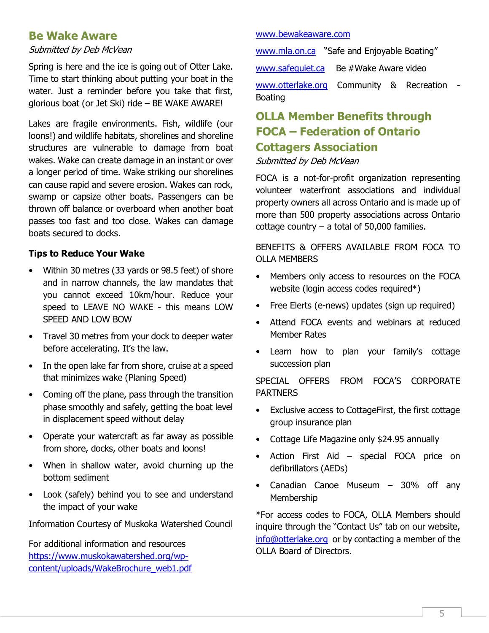## <span id="page-4-0"></span>**Be Wake Aware**

#### Submitted by Deb McVean

Spring is here and the ice is going out of Otter Lake. Time to start thinking about putting your boat in the water. Just a reminder before you take that first, glorious boat (or Jet Ski) ride – BE WAKE AWARE!

Lakes are fragile environments. Fish, wildlife (our loons!) and wildlife habitats, shorelines and shoreline structures are vulnerable to damage from boat wakes. Wake can create damage in an instant or over a longer period of time. Wake striking our shorelines can cause rapid and severe erosion. Wakes can rock, swamp or capsize other boats. Passengers can be thrown off balance or overboard when another boat passes too fast and too close. Wakes can damage boats secured to docks.

### **Tips to Reduce Your Wake**

- Within 30 metres (33 yards or 98.5 feet) of shore and in narrow channels, the law mandates that you cannot exceed 10km/hour. Reduce your speed to LEAVE NO WAKE - this means LOW SPEED AND LOW BOW
- Travel 30 metres from your dock to deeper water before accelerating. It's the law.
- In the open lake far from shore, cruise at a speed that minimizes wake (Planing Speed)
- Coming off the plane, pass through the transition phase smoothly and safely, getting the boat level in displacement speed without delay
- Operate your watercraft as far away as possible from shore, docks, other boats and loons!
- When in shallow water, avoid churning up the bottom sediment
- Look (safely) behind you to see and understand the impact of your wake

Information Courtesy of Muskoka Watershed Council

For additional information and resources [https://www.muskokawatershed.org/wp](https://www.muskokawatershed.org/wp-content/uploads/WakeBrochure_web1.pdf)[content/uploads/WakeBrochure\\_web1.pdf](https://www.muskokawatershed.org/wp-content/uploads/WakeBrochure_web1.pdf)

#### [www.bewakeaware.com](http://www.bewakeaware.com/)

[www.mla.on.ca](http://www.mla.on.ca/) "Safe and Enjoyable Boating"

[www.safequiet.ca](http://www.safequiet.ca/) Be #Wake Aware video

[www.otterlake.org](http://www.otterlake.org/) Community & Recreation - Boating

# <span id="page-4-1"></span>**OLLA Member Benefits through FOCA – Federation of Ontario Cottagers Association**

#### Submitted by Deb McVean

FOCA is a not-for-profit organization representing volunteer waterfront associations and individual property owners all across Ontario and is made up of more than 500 property associations across Ontario cottage country  $-$  a total of 50,000 families.

BENEFITS & OFFERS AVAILABLE FROM FOCA TO OLLA MEMBERS

- Members only access to resources on the FOCA website (login access codes required\*)
- Free Elerts (e-news) updates (sign up required)
- Attend FOCA events and webinars at reduced Member Rates
- Learn how to plan your family's cottage succession plan

SPECIAL OFFERS FROM FOCA'S CORPORATE PARTNERS

- Exclusive access to CottageFirst, the first cottage group insurance plan
- Cottage Life Magazine only \$24.95 annually
- Action First Aid special FOCA price on defibrillators (AEDs)
- Canadian Canoe Museum 30% off any Membership

\*For access codes to FOCA, OLLA Members should inquire through the "Contact Us" tab on our website, [info@otterlake.org](mailto:info@otterlake.org) or by contacting a member of the OLLA Board of Directors.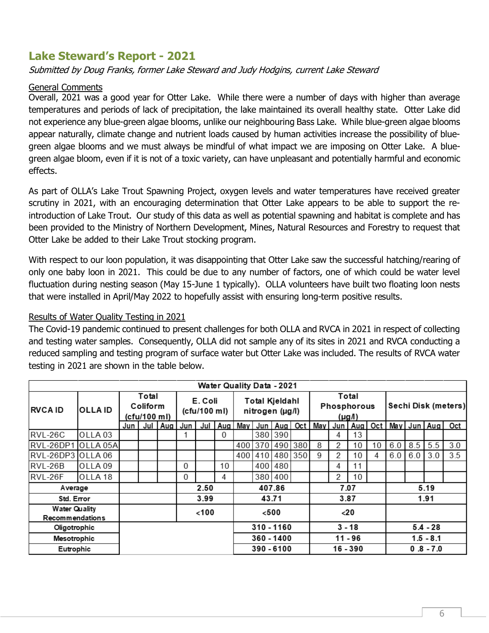# <span id="page-5-0"></span>**Lake Steward's Report - 2021**

#### Submitted by Doug Franks, former Lake Steward and Judy Hodgins, current Lake Steward

#### General Comments

Overall, 2021 was a good year for Otter Lake. While there were a number of days with higher than average temperatures and periods of lack of precipitation, the lake maintained its overall healthy state. Otter Lake did not experience any blue-green algae blooms, unlike our neighbouring Bass Lake. While blue-green algae blooms appear naturally, climate change and nutrient loads caused by human activities increase the possibility of bluegreen algae blooms and we must always be mindful of what impact we are imposing on Otter Lake. A bluegreen algae bloom, even if it is not of a toxic variety, can have unpleasant and potentially harmful and economic effects.

As part of OLLA's Lake Trout Spawning Project, oxygen levels and water temperatures have received greater scrutiny in 2021, with an encouraging determination that Otter Lake appears to be able to support the reintroduction of Lake Trout. Our study of this data as well as potential spawning and habitat is complete and has been provided to the Ministry of Northern Development, Mines, Natural Resources and Forestry to request that Otter Lake be added to their Lake Trout stocking program.

With respect to our loon population, it was disappointing that Otter Lake saw the successful hatching/rearing of only one baby loon in 2021. This could be due to any number of factors, one of which could be water level fluctuation during nesting season (May 15-June 1 typically). OLLA volunteers have built two floating loon nests that were installed in April/May 2022 to hopefully assist with ensuring long-term positive results.

Results of Water Quality Testing in 2021

The Covid-19 pandemic continued to present challenges for both OLLA and RVCA in 2021 in respect of collecting and testing water samples. Consequently, OLLA did not sample any of its sites in 2021 and RVCA conducting a reduced sampling and testing program of surface water but Otter Lake was included. The results of RVCA water testing in 2021 are shown in the table below.

| <b>Water Quality Data - 2021</b>               |                    |                                   |      |         |                         |     |              |                                   |            |           |          |                                           |          |             |             |                     |             |             |     |  |
|------------------------------------------------|--------------------|-----------------------------------|------|---------|-------------------------|-----|--------------|-----------------------------------|------------|-----------|----------|-------------------------------------------|----------|-------------|-------------|---------------------|-------------|-------------|-----|--|
| <b>RVCA ID</b>                                 | <b>OLLAID</b>      | Total<br>Coliform<br>(cfu/100 ml) |      |         | E. Coli<br>(cfu/100 ml) |     |              | Total Kjeldahl<br>nitrogen (µg/l) |            |           |          | Total<br>Phosphorous<br>$(\mu g \Lambda)$ |          |             |             | Sechi Disk (meters) |             |             |     |  |
|                                                |                    | Jun                               |      | Jul Aug | Jun                     | Jul | Aug          | May                               |            | Jun   Aug | Oct      | May I                                     |          | Jun Aug Oct |             |                     |             | May Jun Aug | Oct |  |
| RVL-26C                                        | OLLA <sub>03</sub> |                                   |      |         |                         |     | $\mathbf{0}$ |                                   |            | 380 390   |          |                                           | 4        | 13          |             |                     |             |             |     |  |
| RVL-26DP1                                      | OLLA 05A           |                                   |      |         |                         |     |              | 400                               | 370        | 490       | 380      | 8                                         | 2        | 10          | 10          | 6.0                 | 8.5         | 5.5         | 3.0 |  |
| RVL-26DP3 OLLA 06                              |                    |                                   |      |         |                         |     |              | 400                               | 410        | 480       | 350      | 9                                         | 2        | 10          | 4           | 6.0                 | 6.0         | 3.0         | 3.5 |  |
| RVL-26B                                        | OLLA <sub>09</sub> |                                   |      |         | $\Omega$                |     | 10           |                                   | 400        | 480       |          |                                           | 4        | 11          |             |                     |             |             |     |  |
| RVL-26F                                        | OLLA 18            |                                   |      |         | $\overline{0}$          |     | 4            |                                   |            | 380 400   |          |                                           | 2        | 10          |             |                     |             |             |     |  |
| Average                                        |                    |                                   | 2.50 |         |                         |     | 407.86       |                                   |            |           | 7.07     |                                           |          |             | 5.19        |                     |             |             |     |  |
| Std. Error                                     |                    |                                   |      |         | 3.99                    |     |              | 43.71                             |            |           |          | 3.87                                      |          |             |             | 1.91                |             |             |     |  |
| <b>Water Quality</b><br><b>Recommendations</b> |                    |                                   |      |         | <100                    |     |              |                                   | $500$      |           |          |                                           | $<$ 20   |             |             |                     |             |             |     |  |
| Oligotrophic                                   |                    |                                   |      |         |                         |     | 310 - 1160   |                                   |            |           | $3 - 18$ |                                           |          |             | $5.4 - 28$  |                     |             |             |     |  |
| Mesotrophic                                    |                    |                                   |      |         |                         |     | $360 - 1400$ |                                   |            |           | 11 - 96  |                                           |          |             | $1.5 - 8.1$ |                     |             |             |     |  |
| Eutrophic                                      |                    |                                   |      |         |                         |     |              |                                   | 390 - 6100 |           |          |                                           | 16 - 390 |             |             |                     | $0.8 - 7.0$ |             |     |  |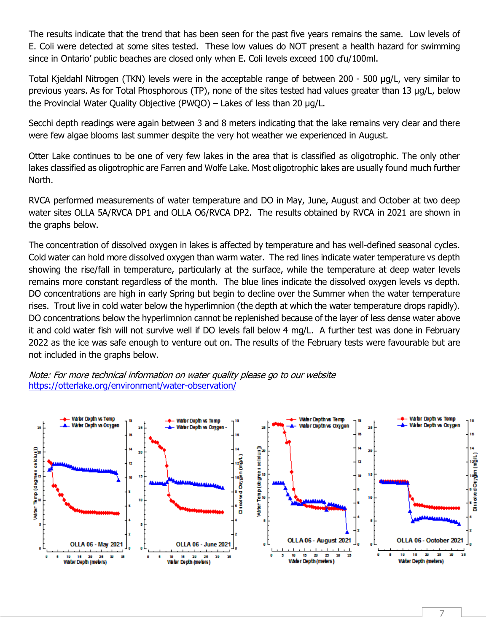The results indicate that the trend that has been seen for the past five years remains the same. Low levels of E. Coli were detected at some sites tested. These low values do NOT present a health hazard for swimming since in Ontario' public beaches are closed only when E. Coli levels exceed 100 cfu/100ml.

Total Kjeldahl Nitrogen (TKN) levels were in the acceptable range of between 200 - 500 µg/L, very similar to previous years. As for Total Phosphorous (TP), none of the sites tested had values greater than 13 µg/L, below the Provincial Water Quality Objective (PWQO) – Lakes of less than 20 µg/L.

Secchi depth readings were again between 3 and 8 meters indicating that the lake remains very clear and there were few algae blooms last summer despite the very hot weather we experienced in August.

Otter Lake continues to be one of very few lakes in the area that is classified as oligotrophic. The only other lakes classified as oligotrophic are Farren and Wolfe Lake. Most oligotrophic lakes are usually found much further North.

RVCA performed measurements of water temperature and DO in May, June, August and October at two deep water sites OLLA 5A/RVCA DP1 and OLLA O6/RVCA DP2. The results obtained by RVCA in 2021 are shown in the graphs below.

The concentration of dissolved oxygen in lakes is affected by temperature and has well-defined seasonal cycles. Cold water can hold more dissolved oxygen than warm water. The red lines indicate water temperature vs depth showing the rise/fall in temperature, particularly at the surface, while the temperature at deep water levels remains more constant regardless of the month. The blue lines indicate the dissolved oxygen levels vs depth. DO concentrations are high in early Spring but begin to decline over the Summer when the water temperature rises. Trout live in cold water below the hyperlimnion (the depth at which the water temperature drops rapidly). DO concentrations below the hyperlimnion cannot be replenished because of the layer of less dense water above it and cold water fish will not survive well if DO levels fall below 4 mg/L. A further test was done in February 2022 as the ice was safe enough to venture out on. The results of the February tests were favourable but are not included in the graphs below.



#### Note: For more technical information on water quality please go to our website <https://otterlake.org/environment/water-observation/>

7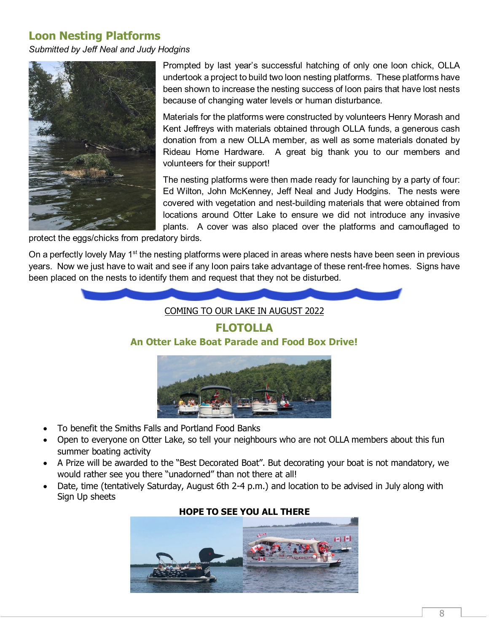# <span id="page-7-0"></span>**Loon Nesting Platforms**

*Submitted by Jeff Neal and Judy Hodgins*



Prompted by last year's successful hatching of only one loon chick, OLLA undertook a project to build two loon nesting platforms. These platforms have been shown to increase the nesting success of loon pairs that have lost nests because of changing water levels or human disturbance.

Materials for the platforms were constructed by volunteers Henry Morash and Kent Jeffreys with materials obtained through OLLA funds, a generous cash donation from a new OLLA member, as well as some materials donated by Rideau Home Hardware. A great big thank you to our members and volunteers for their support!

The nesting platforms were then made ready for launching by a party of four: Ed Wilton, John McKenney, Jeff Neal and Judy Hodgins. The nests were covered with vegetation and nest-building materials that were obtained from locations around Otter Lake to ensure we did not introduce any invasive plants. A cover was also placed over the platforms and camouflaged to

protect the eggs/chicks from predatory birds.

On a perfectly lovely May 1<sup>st</sup> the nesting platforms were placed in areas where nests have been seen in previous years. Now we just have to wait and see if any loon pairs take advantage of these rent-free homes. Signs have been placed on the nests to identify them and request that they not be disturbed.

<span id="page-7-1"></span>



- To benefit the Smiths Falls and Portland Food Banks
- Open to everyone on Otter Lake, so tell your neighbours who are not OLLA members about this fun summer boating activity
- A Prize will be awarded to the "Best Decorated Boat". But decorating your boat is not mandatory, we would rather see you there "unadorned" than not there at all!
- Date, time (tentatively Saturday, August 6th 2-4 p.m.) and location to be advised in July along with Sign Up sheets



### **HOPE TO SEE YOU ALL THERE**